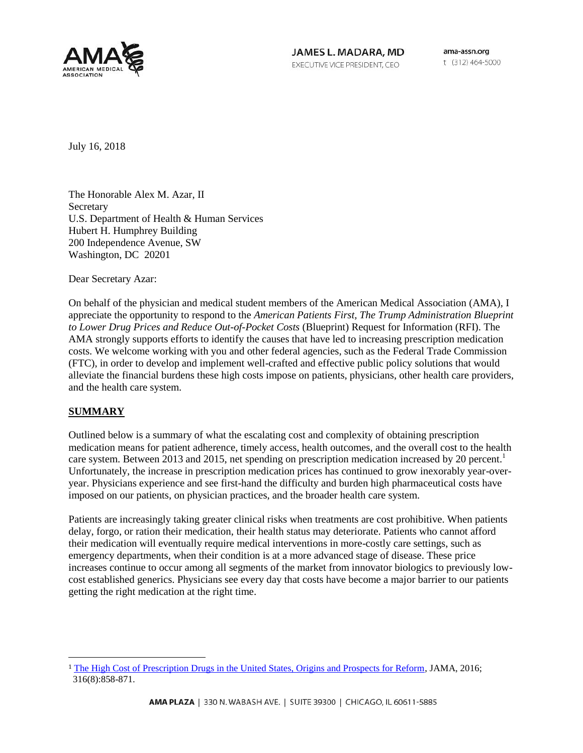

JAMES L. MADARA, MD EXECUTIVE VICE PRESIDENT, CEO

ama-assn.org t (312) 464-5000

July 16, 2018

The Honorable Alex M. Azar, II **Secretary** U.S. Department of Health & Human Services Hubert H. Humphrey Building 200 Independence Avenue, SW Washington, DC 20201

Dear Secretary Azar:

On behalf of the physician and medical student members of the American Medical Association (AMA), I appreciate the opportunity to respond to the *American Patients First, The Trump Administration Blueprint to Lower Drug Prices and Reduce Out-of-Pocket Costs* (Blueprint) Request for Information (RFI). The AMA strongly supports efforts to identify the causes that have led to increasing prescription medication costs. We welcome working with you and other federal agencies, such as the Federal Trade Commission (FTC), in order to develop and implement well-crafted and effective public policy solutions that would alleviate the financial burdens these high costs impose on patients, physicians, other health care providers, and the health care system.

## **SUMMARY**

 $\overline{a}$ 

Outlined below is a summary of what the escalating cost and complexity of obtaining prescription medication means for patient adherence, timely access, health outcomes, and the overall cost to the health care system. Between 2013 and 2015, net spending on prescription medication increased by 20 percent.<sup>1</sup> Unfortunately, the increase in prescription medication prices has continued to grow inexorably year-overyear. Physicians experience and see first-hand the difficulty and burden high pharmaceutical costs have imposed on our patients, on physician practices, and the broader health care system.

Patients are increasingly taking greater clinical risks when treatments are cost prohibitive. When patients delay, forgo, or ration their medication, their health status may deteriorate. Patients who cannot afford their medication will eventually require medical interventions in more-costly care settings, such as emergency departments, when their condition is at a more advanced stage of disease. These price increases continue to occur among all segments of the market from innovator biologics to previously lowcost established generics. Physicians see every day that costs have become a major barrier to our patients getting the right medication at the right time.

<sup>1</sup> [The High Cost of Prescription Drugs in the United States, Origins and Prospects for Reform,](https://phhp-bahealthscience-new.sites.medinfo.ufl.edu/files/2016/09/jsc1600151.pdf) JAMA, 2016; 316(8):858-871.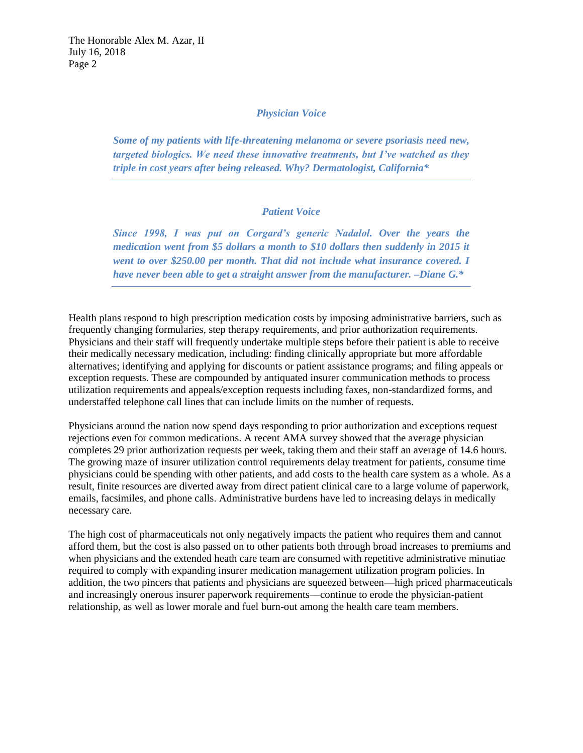## *Physician Voice*

*Some of my patients with life-threatening melanoma or severe psoriasis need new, targeted biologics. We need these innovative treatments, but I've watched as they triple in cost years after being released. Why? Dermatologist, California\**

# *Patient Voice*

*Since 1998, I was put on Corgard's generic Nadalol. Over the years the medication went from \$5 dollars a month to \$10 dollars then suddenly in 2015 it went to over \$250.00 per month. That did not include what insurance covered. I have never been able to get a straight answer from the manufacturer. –Diane G.\** 

Health plans respond to high prescription medication costs by imposing administrative barriers, such as frequently changing formularies, step therapy requirements, and prior authorization requirements. Physicians and their staff will frequently undertake multiple steps before their patient is able to receive their medically necessary medication, including: finding clinically appropriate but more affordable alternatives; identifying and applying for discounts or patient assistance programs; and filing appeals or exception requests. These are compounded by antiquated insurer communication methods to process utilization requirements and appeals/exception requests including faxes, non-standardized forms, and understaffed telephone call lines that can include limits on the number of requests.

Physicians around the nation now spend days responding to prior authorization and exceptions request rejections even for common medications. A recent AMA survey showed that the average physician completes 29 prior authorization requests per week, taking them and their staff an average of 14.6 hours. The growing maze of insurer utilization control requirements delay treatment for patients, consume time physicians could be spending with other patients, and add costs to the health care system as a whole. As a result, finite resources are diverted away from direct patient clinical care to a large volume of paperwork, emails, facsimiles, and phone calls. Administrative burdens have led to increasing delays in medically necessary care.

The high cost of pharmaceuticals not only negatively impacts the patient who requires them and cannot afford them, but the cost is also passed on to other patients both through broad increases to premiums and when physicians and the extended heath care team are consumed with repetitive administrative minutiae required to comply with expanding insurer medication management utilization program policies. In addition, the two pincers that patients and physicians are squeezed between—high priced pharmaceuticals and increasingly onerous insurer paperwork requirements—continue to erode the physician-patient relationship, as well as lower morale and fuel burn-out among the health care team members.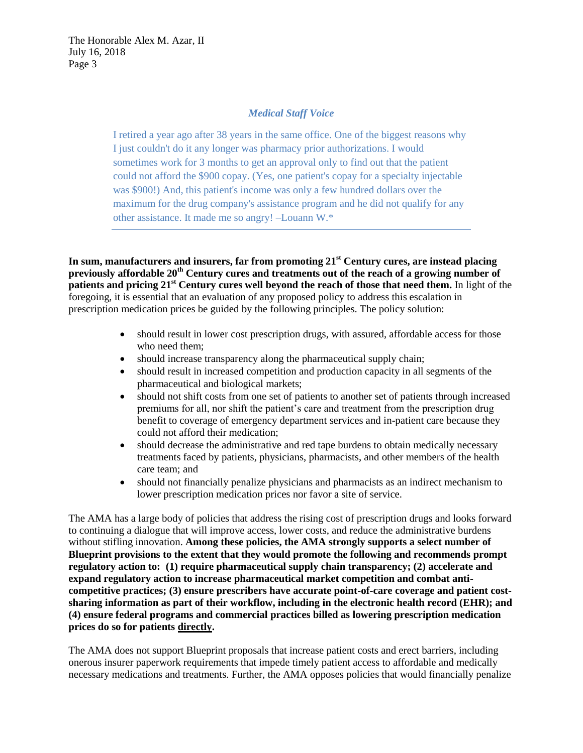# *Medical Staff Voice*

I retired a year ago after 38 years in the same office. One of the biggest reasons why I just couldn't do it any longer was pharmacy prior authorizations. I would sometimes work for 3 months to get an approval only to find out that the patient could not afford the \$900 copay. (Yes, one patient's copay for a specialty injectable was \$900!) And, this patient's income was only a few hundred dollars over the maximum for the drug company's assistance program and he did not qualify for any other assistance. It made me so angry! –Louann W.\*

**In sum, manufacturers and insurers, far from promoting 21st Century cures, are instead placing previously affordable 20th Century cures and treatments out of the reach of a growing number of patients and pricing 21st Century cures well beyond the reach of those that need them.** In light of the foregoing, it is essential that an evaluation of any proposed policy to address this escalation in prescription medication prices be guided by the following principles. The policy solution:

- should result in lower cost prescription drugs, with assured, affordable access for those who need them;
- should increase transparency along the pharmaceutical supply chain;
- should result in increased competition and production capacity in all segments of the pharmaceutical and biological markets;
- should not shift costs from one set of patients to another set of patients through increased premiums for all, nor shift the patient's care and treatment from the prescription drug benefit to coverage of emergency department services and in-patient care because they could not afford their medication;
- should decrease the administrative and red tape burdens to obtain medically necessary treatments faced by patients, physicians, pharmacists, and other members of the health care team; and
- should not financially penalize physicians and pharmacists as an indirect mechanism to lower prescription medication prices nor favor a site of service.

The AMA has a large body of policies that address the rising cost of prescription drugs and looks forward to continuing a dialogue that will improve access, lower costs, and reduce the administrative burdens without stifling innovation. **Among these policies, the AMA strongly supports a select number of Blueprint provisions to the extent that they would promote the following and recommends prompt regulatory action to: (1) require pharmaceutical supply chain transparency; (2) accelerate and expand regulatory action to increase pharmaceutical market competition and combat anticompetitive practices; (3) ensure prescribers have accurate point-of-care coverage and patient costsharing information as part of their workflow, including in the electronic health record (EHR); and (4) ensure federal programs and commercial practices billed as lowering prescription medication prices do so for patients directly.**

The AMA does not support Blueprint proposals that increase patient costs and erect barriers, including onerous insurer paperwork requirements that impede timely patient access to affordable and medically necessary medications and treatments. Further, the AMA opposes policies that would financially penalize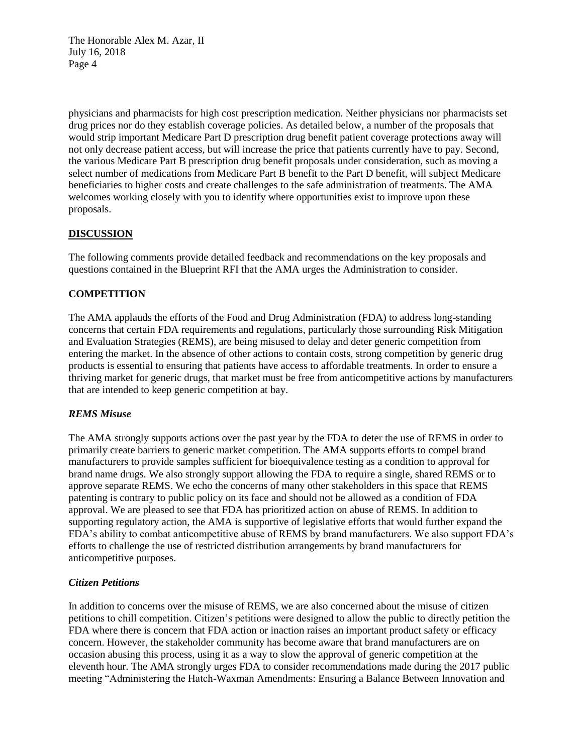physicians and pharmacists for high cost prescription medication. Neither physicians nor pharmacists set drug prices nor do they establish coverage policies. As detailed below, a number of the proposals that would strip important Medicare Part D prescription drug benefit patient coverage protections away will not only decrease patient access, but will increase the price that patients currently have to pay. Second, the various Medicare Part B prescription drug benefit proposals under consideration, such as moving a select number of medications from Medicare Part B benefit to the Part D benefit, will subject Medicare beneficiaries to higher costs and create challenges to the safe administration of treatments. The AMA welcomes working closely with you to identify where opportunities exist to improve upon these proposals.

## **DISCUSSION**

The following comments provide detailed feedback and recommendations on the key proposals and questions contained in the Blueprint RFI that the AMA urges the Administration to consider.

# **COMPETITION**

The AMA applauds the efforts of the Food and Drug Administration (FDA) to address long-standing concerns that certain FDA requirements and regulations, particularly those surrounding Risk Mitigation and Evaluation Strategies (REMS), are being misused to delay and deter generic competition from entering the market. In the absence of other actions to contain costs, strong competition by generic drug products is essential to ensuring that patients have access to affordable treatments. In order to ensure a thriving market for generic drugs, that market must be free from anticompetitive actions by manufacturers that are intended to keep generic competition at bay.

## *REMS Misuse*

The AMA strongly supports actions over the past year by the FDA to deter the use of REMS in order to primarily create barriers to generic market competition. The AMA supports efforts to compel brand manufacturers to provide samples sufficient for bioequivalence testing as a condition to approval for brand name drugs. We also strongly support allowing the FDA to require a single, shared REMS or to approve separate REMS. We echo the concerns of many other stakeholders in this space that REMS patenting is contrary to public policy on its face and should not be allowed as a condition of FDA approval. We are pleased to see that FDA has prioritized action on abuse of REMS. In addition to supporting regulatory action, the AMA is supportive of legislative efforts that would further expand the FDA's ability to combat anticompetitive abuse of REMS by brand manufacturers. We also support FDA's efforts to challenge the use of restricted distribution arrangements by brand manufacturers for anticompetitive purposes.

## *Citizen Petitions*

In addition to concerns over the misuse of REMS, we are also concerned about the misuse of citizen petitions to chill competition. Citizen's petitions were designed to allow the public to directly petition the FDA where there is concern that FDA action or inaction raises an important product safety or efficacy concern. However, the stakeholder community has become aware that brand manufacturers are on occasion abusing this process, using it as a way to slow the approval of generic competition at the eleventh hour. The AMA strongly urges FDA to consider recommendations made during the 2017 public meeting "Administering the Hatch-Waxman Amendments: Ensuring a Balance Between Innovation and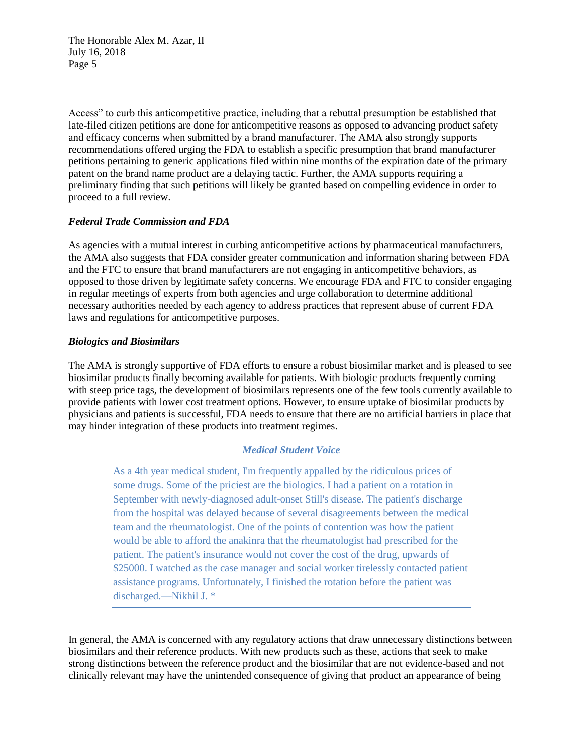Access" to curb this anticompetitive practice, including that a rebuttal presumption be established that late-filed citizen petitions are done for anticompetitive reasons as opposed to advancing product safety and efficacy concerns when submitted by a brand manufacturer. The AMA also strongly supports recommendations offered urging the FDA to establish a specific presumption that brand manufacturer petitions pertaining to generic applications filed within nine months of the expiration date of the primary patent on the brand name product are a delaying tactic. Further, the AMA supports requiring a preliminary finding that such petitions will likely be granted based on compelling evidence in order to proceed to a full review.

# *Federal Trade Commission and FDA*

As agencies with a mutual interest in curbing anticompetitive actions by pharmaceutical manufacturers, the AMA also suggests that FDA consider greater communication and information sharing between FDA and the FTC to ensure that brand manufacturers are not engaging in anticompetitive behaviors, as opposed to those driven by legitimate safety concerns. We encourage FDA and FTC to consider engaging in regular meetings of experts from both agencies and urge collaboration to determine additional necessary authorities needed by each agency to address practices that represent abuse of current FDA laws and regulations for anticompetitive purposes.

## *Biologics and Biosimilars*

The AMA is strongly supportive of FDA efforts to ensure a robust biosimilar market and is pleased to see biosimilar products finally becoming available for patients. With biologic products frequently coming with steep price tags, the development of biosimilars represents one of the few tools currently available to provide patients with lower cost treatment options. However, to ensure uptake of biosimilar products by physicians and patients is successful, FDA needs to ensure that there are no artificial barriers in place that may hinder integration of these products into treatment regimes.

# *Medical Student Voice*

As a 4th year medical student, I'm frequently appalled by the ridiculous prices of some drugs. Some of the priciest are the biologics. I had a patient on a rotation in September with newly-diagnosed adult-onset Still's disease. The patient's discharge from the hospital was delayed because of several disagreements between the medical team and the rheumatologist. One of the points of contention was how the patient would be able to afford the anakinra that the rheumatologist had prescribed for the patient. The patient's insurance would not cover the cost of the drug, upwards of \$25000. I watched as the case manager and social worker tirelessly contacted patient assistance programs. Unfortunately, I finished the rotation before the patient was discharged.—Nikhil J. \*

In general, the AMA is concerned with any regulatory actions that draw unnecessary distinctions between biosimilars and their reference products. With new products such as these, actions that seek to make strong distinctions between the reference product and the biosimilar that are not evidence-based and not clinically relevant may have the unintended consequence of giving that product an appearance of being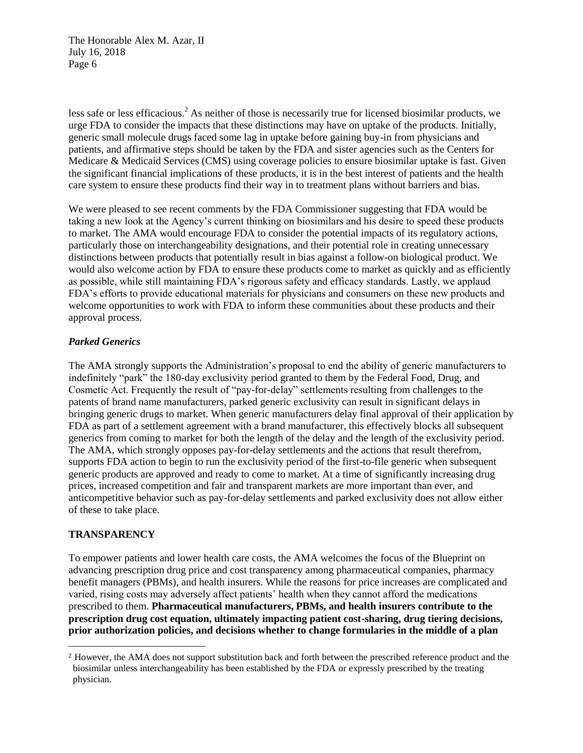less safe or less efficacious.<sup>2</sup> As neither of those is necessarily true for licensed biosimilar products, we urge FDA to consider the impacts that these distinctions may have on uptake of the products. Initially, generic small molecule drugs faced some lag in uptake before gaining buy-in from physicians and patients, and affirmative steps should be taken by the FDA and sister agencies such as the Centers for Medicare & Medicaid Services (CMS) using coverage policies to ensure biosimilar uptake is fast. Given the significant financial implications of these products, it is in the best interest of patients and the health care system to ensure these products find their way in to treatment plans without barriers and bias.

We were pleased to see recent comments by the FDA Commissioner suggesting that FDA would be taking a new look at the Agency's current thinking on biosimilars and his desire to speed these products to market. The AMA would encourage FDA to consider the potential impacts of its regulatory actions, particularly those on interchangeability designations, and their potential role in creating unnecessary distinctions between products that potentially result in bias against a follow-on biological product. We would also welcome action by FDA to ensure these products come to market as quickly and as efficiently as possible, while still maintaining FDA's rigorous safety and efficacy standards. Lastly, we applaud FDA's efforts to provide educational materials for physicians and consumers on these new products and welcome opportunities to work with FDA to inform these communities about these products and their approval process.

## *Parked Generics*

The AMA strongly supports the Administration's proposal to end the ability of generic manufacturers to indefinitely "park" the 180-day exclusivity period granted to them by the Federal Food, Drug, and Cosmetic Act. Frequently the result of "pay-for-delay" settlements resulting from challenges to the patents of brand name manufacturers, parked generic exclusivity can result in significant delays in bringing generic drugs to market. When generic manufacturers delay final approval of their application by FDA as part of a settlement agreement with a brand manufacturer, this effectively blocks all subsequent generics from coming to market for both the length of the delay and the length of the exclusivity period. The AMA, which strongly opposes pay-for-delay settlements and the actions that result therefrom, supports FDA action to begin to run the exclusivity period of the first-to-file generic when subsequent generic products are approved and ready to come to market. At a time of significantly increasing drug prices, increased competition and fair and transparent markets are more important than ever, and anticompetitive behavior such as pay-for-delay settlements and parked exclusivity does not allow either of these to take place.

# **TRANSPARENCY**

 $\overline{a}$ 

To empower patients and lower health care costs, the AMA welcomes the focus of the Blueprint on advancing prescription drug price and cost transparency among pharmaceutical companies, pharmacy benefit managers (PBMs), and health insurers. While the reasons for price increases are complicated and varied, rising costs may adversely affect patients' health when they cannot afford the medications prescribed to them. **Pharmaceutical manufacturers, PBMs, and health insurers contribute to the prescription drug cost equation, ultimately impacting patient cost-sharing, drug tiering decisions, prior authorization policies, and decisions whether to change formularies in the middle of a plan** 

<sup>2</sup> However, the AMA does not support substitution back and forth between the prescribed reference product and the biosimilar unless interchangeability has been established by the FDA or expressly prescribed by the treating physician.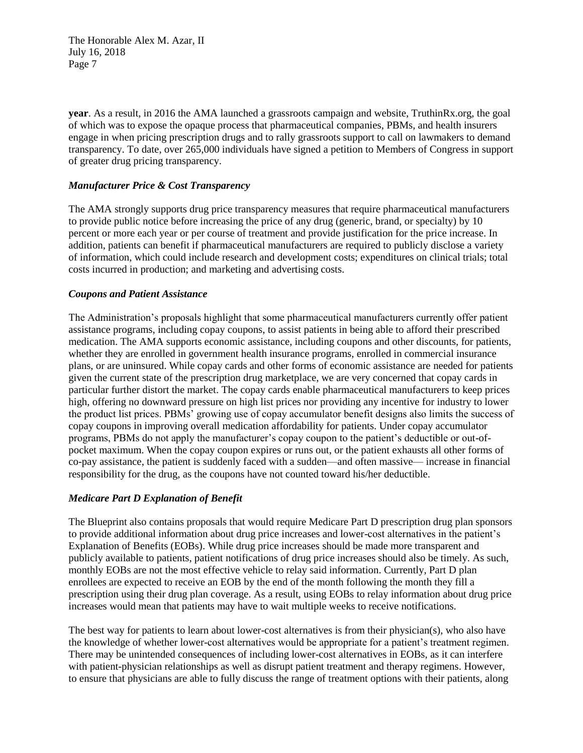**year**. As a result, in 2016 the AMA launched a grassroots campaign and website, TruthinRx.org, the goal of which was to expose the opaque process that pharmaceutical companies, PBMs, and health insurers engage in when pricing prescription drugs and to rally grassroots support to call on lawmakers to demand transparency. To date, over 265,000 individuals have signed a petition to Members of Congress in support of greater drug pricing transparency.

# *Manufacturer Price & Cost Transparency*

The AMA strongly supports drug price transparency measures that require pharmaceutical manufacturers to provide public notice before increasing the price of any drug (generic, brand, or specialty) by 10 percent or more each year or per course of treatment and provide justification for the price increase. In addition, patients can benefit if pharmaceutical manufacturers are required to publicly disclose a variety of information, which could include research and development costs; expenditures on clinical trials; total costs incurred in production; and marketing and advertising costs.

## *Coupons and Patient Assistance*

The Administration's proposals highlight that some pharmaceutical manufacturers currently offer patient assistance programs, including copay coupons, to assist patients in being able to afford their prescribed medication. The AMA supports economic assistance, including coupons and other discounts, for patients, whether they are enrolled in government health insurance programs, enrolled in commercial insurance plans, or are uninsured. While copay cards and other forms of economic assistance are needed for patients given the current state of the prescription drug marketplace, we are very concerned that copay cards in particular further distort the market. The copay cards enable pharmaceutical manufacturers to keep prices high, offering no downward pressure on high list prices nor providing any incentive for industry to lower the product list prices. PBMs' growing use of copay accumulator benefit designs also limits the success of copay coupons in improving overall medication affordability for patients. Under copay accumulator programs, PBMs do not apply the manufacturer's copay coupon to the patient's deductible or out-ofpocket maximum. When the copay coupon expires or runs out, or the patient exhausts all other forms of co-pay assistance, the patient is suddenly faced with a sudden—and often massive— increase in financial responsibility for the drug, as the coupons have not counted toward his/her deductible.

## *Medicare Part D Explanation of Benefit*

The Blueprint also contains proposals that would require Medicare Part D prescription drug plan sponsors to provide additional information about drug price increases and lower-cost alternatives in the patient's Explanation of Benefits (EOBs). While drug price increases should be made more transparent and publicly available to patients, patient notifications of drug price increases should also be timely. As such, monthly EOBs are not the most effective vehicle to relay said information. Currently, Part D plan enrollees are expected to receive an EOB by the end of the month following the month they fill a prescription using their drug plan coverage. As a result, using EOBs to relay information about drug price increases would mean that patients may have to wait multiple weeks to receive notifications.

The best way for patients to learn about lower-cost alternatives is from their physician(s), who also have the knowledge of whether lower-cost alternatives would be appropriate for a patient's treatment regimen. There may be unintended consequences of including lower-cost alternatives in EOBs, as it can interfere with patient-physician relationships as well as disrupt patient treatment and therapy regimens. However, to ensure that physicians are able to fully discuss the range of treatment options with their patients, along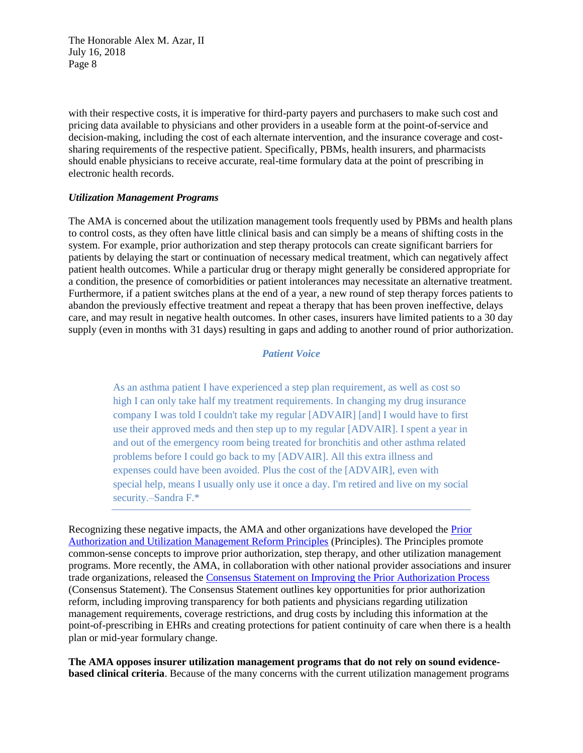with their respective costs, it is imperative for third-party payers and purchasers to make such cost and pricing data available to physicians and other providers in a useable form at the point-of-service and decision-making, including the cost of each alternate intervention, and the insurance coverage and costsharing requirements of the respective patient. Specifically, PBMs, health insurers, and pharmacists should enable physicians to receive accurate, real-time formulary data at the point of prescribing in electronic health records.

#### *Utilization Management Programs*

The AMA is concerned about the utilization management tools frequently used by PBMs and health plans to control costs, as they often have little clinical basis and can simply be a means of shifting costs in the system. For example, prior authorization and step therapy protocols can create significant barriers for patients by delaying the start or continuation of necessary medical treatment, which can negatively affect patient health outcomes. While a particular drug or therapy might generally be considered appropriate for a condition, the presence of comorbidities or patient intolerances may necessitate an alternative treatment. Furthermore, if a patient switches plans at the end of a year, a new round of step therapy forces patients to abandon the previously effective treatment and repeat a therapy that has been proven ineffective, delays care, and may result in negative health outcomes. In other cases, insurers have limited patients to a 30 day supply (even in months with 31 days) resulting in gaps and adding to another round of prior authorization.

# *Patient Voice*

As an asthma patient I have experienced a step plan requirement, as well as cost so high I can only take half my treatment requirements. In changing my drug insurance company I was told I couldn't take my regular [ADVAIR] [and] I would have to first use their approved meds and then step up to my regular [ADVAIR]. I spent a year in and out of the emergency room being treated for bronchitis and other asthma related problems before I could go back to my [ADVAIR]. All this extra illness and expenses could have been avoided. Plus the cost of the [ADVAIR], even with special help, means I usually only use it once a day. I'm retired and live on my social security.–Sandra F.\*

Recognizing these negative impacts, the AMA and other organizations have developed the [Prior](https://www.ama-assn.org/sites/default/files/media-browser/principles-with-signatory-page-for-slsc.pdf)  [Authorization and Utilization Management Reform Principles](https://www.ama-assn.org/sites/default/files/media-browser/principles-with-signatory-page-for-slsc.pdf) (Principles). The Principles promote common-sense concepts to improve prior authorization, step therapy, and other utilization management programs. More recently, the AMA, in collaboration with other national provider associations and insurer trade organizations, released the [Consensus Statement on Improving the Prior Authorization Process](https://www.ama-assn.org/sites/default/files/media-browser/public/arc-public/prior-authorization-consensus-statement.pdf) (Consensus Statement). The Consensus Statement outlines key opportunities for prior authorization reform, including improving transparency for both patients and physicians regarding utilization management requirements, coverage restrictions, and drug costs by including this information at the point-of-prescribing in EHRs and creating protections for patient continuity of care when there is a health plan or mid-year formulary change.

**The AMA opposes insurer utilization management programs that do not rely on sound evidencebased clinical criteria**. Because of the many concerns with the current utilization management programs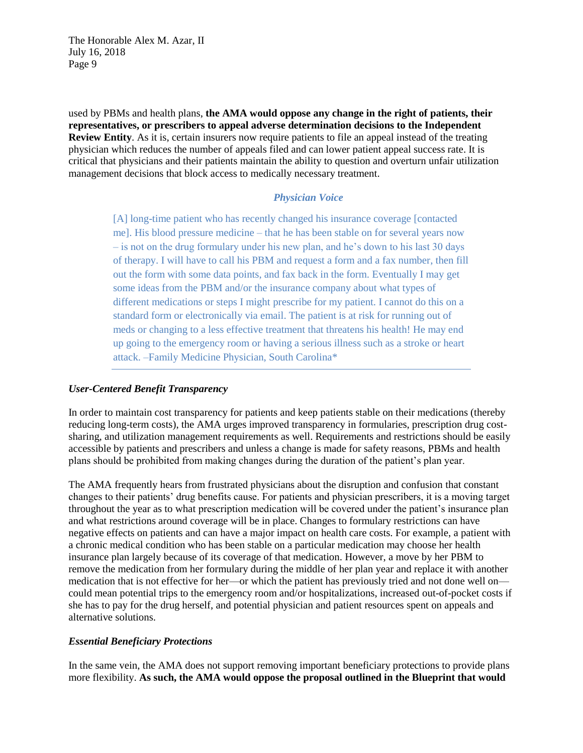used by PBMs and health plans, **the AMA would oppose any change in the right of patients, their representatives, or prescribers to appeal adverse determination decisions to the Independent Review Entity**. As it is, certain insurers now require patients to file an appeal instead of the treating physician which reduces the number of appeals filed and can lower patient appeal success rate. It is critical that physicians and their patients maintain the ability to question and overturn unfair utilization management decisions that block access to medically necessary treatment.

#### *Physician Voice*

[A] long-time patient who has recently changed his insurance coverage [contacted me]. His blood pressure medicine – that he has been stable on for several years now – is not on the drug formulary under his new plan, and he's down to his last 30 days of therapy. I will have to call his PBM and request a form and a fax number, then fill out the form with some data points, and fax back in the form. Eventually I may get some ideas from the PBM and/or the insurance company about what types of different medications or steps I might prescribe for my patient. I cannot do this on a standard form or electronically via email. The patient is at risk for running out of meds or changing to a less effective treatment that threatens his health! He may end up going to the emergency room or having a serious illness such as a stroke or heart attack. –Family Medicine Physician, South Carolina\*

### *User-Centered Benefit Transparency*

In order to maintain cost transparency for patients and keep patients stable on their medications (thereby reducing long-term costs), the AMA urges improved transparency in formularies, prescription drug costsharing, and utilization management requirements as well. Requirements and restrictions should be easily accessible by patients and prescribers and unless a change is made for safety reasons, PBMs and health plans should be prohibited from making changes during the duration of the patient's plan year.

The AMA frequently hears from frustrated physicians about the disruption and confusion that constant changes to their patients' drug benefits cause. For patients and physician prescribers, it is a moving target throughout the year as to what prescription medication will be covered under the patient's insurance plan and what restrictions around coverage will be in place. Changes to formulary restrictions can have negative effects on patients and can have a major impact on health care costs. For example, a patient with a chronic medical condition who has been stable on a particular medication may choose her health insurance plan largely because of its coverage of that medication. However, a move by her PBM to remove the medication from her formulary during the middle of her plan year and replace it with another medication that is not effective for her—or which the patient has previously tried and not done well on could mean potential trips to the emergency room and/or hospitalizations, increased out-of-pocket costs if she has to pay for the drug herself, and potential physician and patient resources spent on appeals and alternative solutions.

#### *Essential Beneficiary Protections*

In the same vein, the AMA does not support removing important beneficiary protections to provide plans more flexibility. **As such, the AMA would oppose the proposal outlined in the Blueprint that would**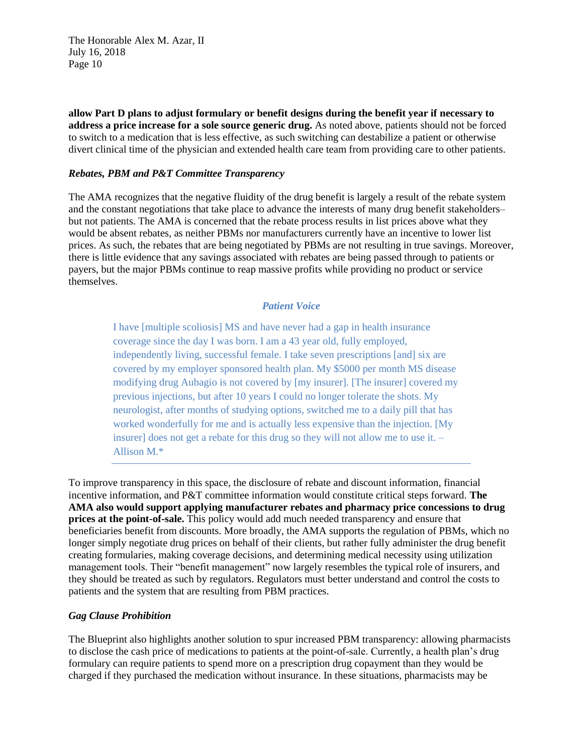**allow Part D plans to adjust formulary or benefit designs during the benefit year if necessary to address a price increase for a sole source generic drug.** As noted above, patients should not be forced to switch to a medication that is less effective, as such switching can destabilize a patient or otherwise divert clinical time of the physician and extended health care team from providing care to other patients.

## *Rebates, PBM and P&T Committee Transparency*

The AMA recognizes that the negative fluidity of the drug benefit is largely a result of the rebate system and the constant negotiations that take place to advance the interests of many drug benefit stakeholders– but not patients. The AMA is concerned that the rebate process results in list prices above what they would be absent rebates, as neither PBMs nor manufacturers currently have an incentive to lower list prices. As such, the rebates that are being negotiated by PBMs are not resulting in true savings. Moreover, there is little evidence that any savings associated with rebates are being passed through to patients or payers, but the major PBMs continue to reap massive profits while providing no product or service themselves.

### *Patient Voice*

I have [multiple scoliosis] MS and have never had a gap in health insurance coverage since the day I was born. I am a 43 year old, fully employed, independently living, successful female. I take seven prescriptions [and] six are covered by my employer sponsored health plan. My \$5000 per month MS disease modifying drug Aubagio is not covered by [my insurer]. [The insurer] covered my previous injections, but after 10 years I could no longer tolerate the shots. My neurologist, after months of studying options, switched me to a daily pill that has worked wonderfully for me and is actually less expensive than the injection. [My insurer] does not get a rebate for this drug so they will not allow me to use it. – Allison M.\*

To improve transparency in this space, the disclosure of rebate and discount information, financial incentive information, and P&T committee information would constitute critical steps forward. **The AMA also would support applying manufacturer rebates and pharmacy price concessions to drug prices at the point-of-sale.** This policy would add much needed transparency and ensure that beneficiaries benefit from discounts. More broadly, the AMA supports the regulation of PBMs, which no longer simply negotiate drug prices on behalf of their clients, but rather fully administer the drug benefit creating formularies, making coverage decisions, and determining medical necessity using utilization management tools. Their "benefit management" now largely resembles the typical role of insurers, and they should be treated as such by regulators. Regulators must better understand and control the costs to patients and the system that are resulting from PBM practices.

#### *Gag Clause Prohibition*

The Blueprint also highlights another solution to spur increased PBM transparency: allowing pharmacists to disclose the cash price of medications to patients at the point-of-sale. Currently, a health plan's drug formulary can require patients to spend more on a prescription drug copayment than they would be charged if they purchased the medication without insurance. In these situations, pharmacists may be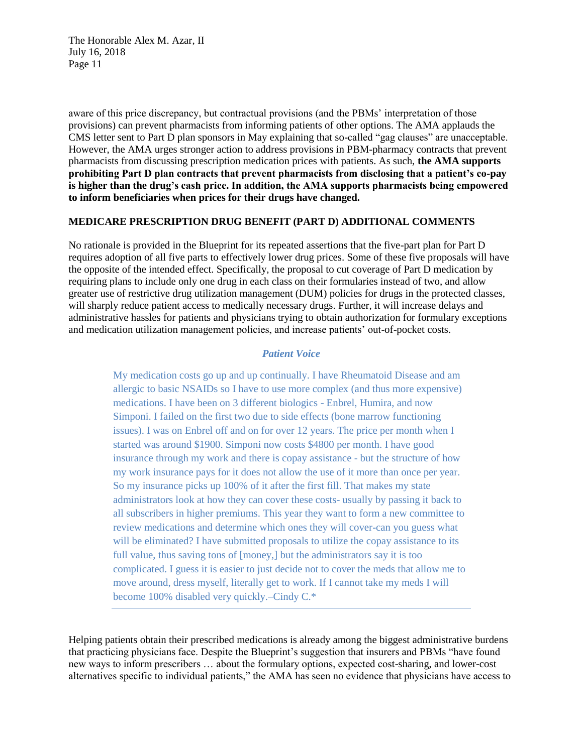aware of this price discrepancy, but contractual provisions (and the PBMs' interpretation of those provisions) can prevent pharmacists from informing patients of other options. The AMA applauds the CMS letter sent to Part D plan sponsors in May explaining that so-called "gag clauses" are unacceptable. However, the AMA urges stronger action to address provisions in PBM-pharmacy contracts that prevent pharmacists from discussing prescription medication prices with patients. As such, **the AMA supports prohibiting Part D plan contracts that prevent pharmacists from disclosing that a patient's co-pay is higher than the drug's cash price. In addition, the AMA supports pharmacists being empowered to inform beneficiaries when prices for their drugs have changed.**

#### **MEDICARE PRESCRIPTION DRUG BENEFIT (PART D) ADDITIONAL COMMENTS**

No rationale is provided in the Blueprint for its repeated assertions that the five-part plan for Part D requires adoption of all five parts to effectively lower drug prices. Some of these five proposals will have the opposite of the intended effect. Specifically, the proposal to cut coverage of Part D medication by requiring plans to include only one drug in each class on their formularies instead of two, and allow greater use of restrictive drug utilization management (DUM) policies for drugs in the protected classes, will sharply reduce patient access to medically necessary drugs. Further, it will increase delays and administrative hassles for patients and physicians trying to obtain authorization for formulary exceptions and medication utilization management policies, and increase patients' out-of-pocket costs.

## *Patient Voice*

My medication costs go up and up continually. I have Rheumatoid Disease and am allergic to basic NSAIDs so I have to use more complex (and thus more expensive) medications. I have been on 3 different biologics - Enbrel, Humira, and now Simponi. I failed on the first two due to side effects (bone marrow functioning issues). I was on Enbrel off and on for over 12 years. The price per month when I started was around \$1900. Simponi now costs \$4800 per month. I have good insurance through my work and there is copay assistance - but the structure of how my work insurance pays for it does not allow the use of it more than once per year. So my insurance picks up 100% of it after the first fill. That makes my state administrators look at how they can cover these costs- usually by passing it back to all subscribers in higher premiums. This year they want to form a new committee to review medications and determine which ones they will cover-can you guess what will be eliminated? I have submitted proposals to utilize the copay assistance to its full value, thus saving tons of [money,] but the administrators say it is too complicated. I guess it is easier to just decide not to cover the meds that allow me to move around, dress myself, literally get to work. If I cannot take my meds I will become 100% disabled very quickly.–Cindy C.\*

Helping patients obtain their prescribed medications is already among the biggest administrative burdens that practicing physicians face. Despite the Blueprint's suggestion that insurers and PBMs "have found new ways to inform prescribers … about the formulary options, expected cost-sharing, and lower-cost alternatives specific to individual patients," the AMA has seen no evidence that physicians have access to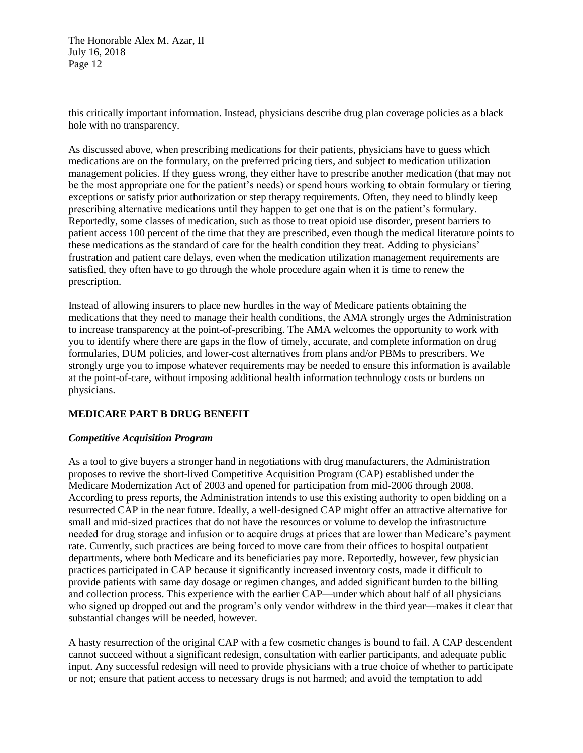this critically important information. Instead, physicians describe drug plan coverage policies as a black hole with no transparency.

As discussed above, when prescribing medications for their patients, physicians have to guess which medications are on the formulary, on the preferred pricing tiers, and subject to medication utilization management policies. If they guess wrong, they either have to prescribe another medication (that may not be the most appropriate one for the patient's needs) or spend hours working to obtain formulary or tiering exceptions or satisfy prior authorization or step therapy requirements. Often, they need to blindly keep prescribing alternative medications until they happen to get one that is on the patient's formulary. Reportedly, some classes of medication, such as those to treat opioid use disorder, present barriers to patient access 100 percent of the time that they are prescribed, even though the medical literature points to these medications as the standard of care for the health condition they treat. Adding to physicians' frustration and patient care delays, even when the medication utilization management requirements are satisfied, they often have to go through the whole procedure again when it is time to renew the prescription.

Instead of allowing insurers to place new hurdles in the way of Medicare patients obtaining the medications that they need to manage their health conditions, the AMA strongly urges the Administration to increase transparency at the point-of-prescribing. The AMA welcomes the opportunity to work with you to identify where there are gaps in the flow of timely, accurate, and complete information on drug formularies, DUM policies, and lower-cost alternatives from plans and/or PBMs to prescribers. We strongly urge you to impose whatever requirements may be needed to ensure this information is available at the point-of-care, without imposing additional health information technology costs or burdens on physicians.

## **MEDICARE PART B DRUG BENEFIT**

## *Competitive Acquisition Program*

As a tool to give buyers a stronger hand in negotiations with drug manufacturers, the Administration proposes to revive the short-lived Competitive Acquisition Program (CAP) established under the Medicare Modernization Act of 2003 and opened for participation from mid-2006 through 2008. According to press reports, the Administration intends to use this existing authority to open bidding on a resurrected CAP in the near future. Ideally, a well-designed CAP might offer an attractive alternative for small and mid-sized practices that do not have the resources or volume to develop the infrastructure needed for drug storage and infusion or to acquire drugs at prices that are lower than Medicare's payment rate. Currently, such practices are being forced to move care from their offices to hospital outpatient departments, where both Medicare and its beneficiaries pay more. Reportedly, however, few physician practices participated in CAP because it significantly increased inventory costs, made it difficult to provide patients with same day dosage or regimen changes, and added significant burden to the billing and collection process. This experience with the earlier CAP—under which about half of all physicians who signed up dropped out and the program's only vendor withdrew in the third year—makes it clear that substantial changes will be needed, however.

A hasty resurrection of the original CAP with a few cosmetic changes is bound to fail. A CAP descendent cannot succeed without a significant redesign, consultation with earlier participants, and adequate public input. Any successful redesign will need to provide physicians with a true choice of whether to participate or not; ensure that patient access to necessary drugs is not harmed; and avoid the temptation to add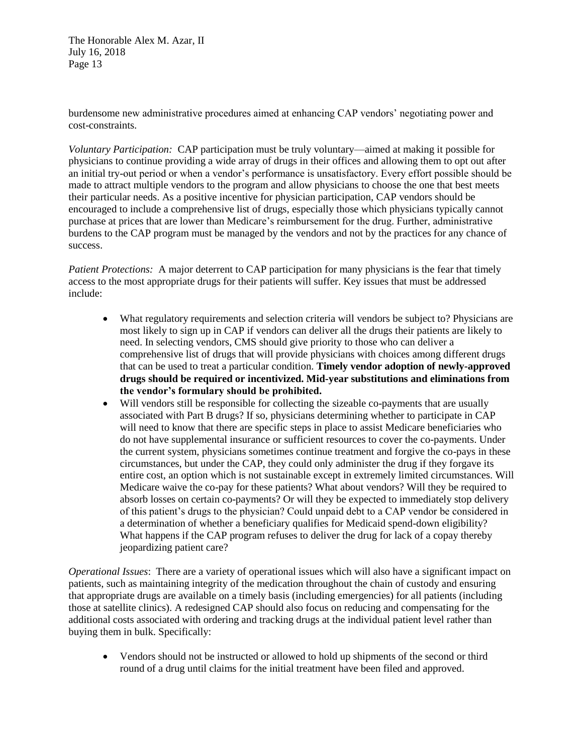burdensome new administrative procedures aimed at enhancing CAP vendors' negotiating power and cost-constraints.

*Voluntary Participation:* CAP participation must be truly voluntary—aimed at making it possible for physicians to continue providing a wide array of drugs in their offices and allowing them to opt out after an initial try-out period or when a vendor's performance is unsatisfactory. Every effort possible should be made to attract multiple vendors to the program and allow physicians to choose the one that best meets their particular needs. As a positive incentive for physician participation, CAP vendors should be encouraged to include a comprehensive list of drugs, especially those which physicians typically cannot purchase at prices that are lower than Medicare's reimbursement for the drug. Further, administrative burdens to the CAP program must be managed by the vendors and not by the practices for any chance of success.

*Patient Protections:* A major deterrent to CAP participation for many physicians is the fear that timely access to the most appropriate drugs for their patients will suffer. Key issues that must be addressed include:

- What regulatory requirements and selection criteria will vendors be subject to? Physicians are most likely to sign up in CAP if vendors can deliver all the drugs their patients are likely to need. In selecting vendors, CMS should give priority to those who can deliver a comprehensive list of drugs that will provide physicians with choices among different drugs that can be used to treat a particular condition. **Timely vendor adoption of newly-approved drugs should be required or incentivized. Mid-year substitutions and eliminations from the vendor's formulary should be prohibited.**
- Will vendors still be responsible for collecting the sizeable co-payments that are usually associated with Part B drugs? If so, physicians determining whether to participate in CAP will need to know that there are specific steps in place to assist Medicare beneficiaries who do not have supplemental insurance or sufficient resources to cover the co-payments. Under the current system, physicians sometimes continue treatment and forgive the co-pays in these circumstances, but under the CAP, they could only administer the drug if they forgave its entire cost, an option which is not sustainable except in extremely limited circumstances. Will Medicare waive the co-pay for these patients? What about vendors? Will they be required to absorb losses on certain co-payments? Or will they be expected to immediately stop delivery of this patient's drugs to the physician? Could unpaid debt to a CAP vendor be considered in a determination of whether a beneficiary qualifies for Medicaid spend-down eligibility? What happens if the CAP program refuses to deliver the drug for lack of a copay thereby jeopardizing patient care?

*Operational Issues*: There are a variety of operational issues which will also have a significant impact on patients, such as maintaining integrity of the medication throughout the chain of custody and ensuring that appropriate drugs are available on a timely basis (including emergencies) for all patients (including those at satellite clinics). A redesigned CAP should also focus on reducing and compensating for the additional costs associated with ordering and tracking drugs at the individual patient level rather than buying them in bulk. Specifically:

 Vendors should not be instructed or allowed to hold up shipments of the second or third round of a drug until claims for the initial treatment have been filed and approved.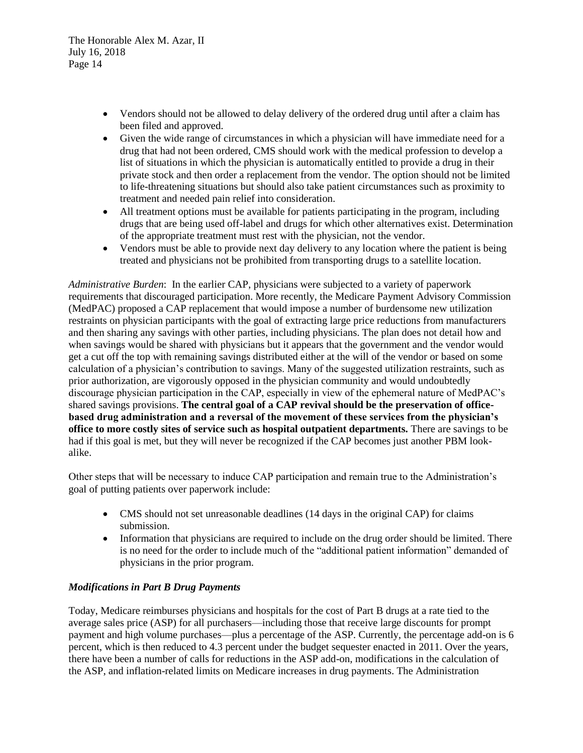- Vendors should not be allowed to delay delivery of the ordered drug until after a claim has been filed and approved.
- Given the wide range of circumstances in which a physician will have immediate need for a drug that had not been ordered, CMS should work with the medical profession to develop a list of situations in which the physician is automatically entitled to provide a drug in their private stock and then order a replacement from the vendor. The option should not be limited to life-threatening situations but should also take patient circumstances such as proximity to treatment and needed pain relief into consideration.
- All treatment options must be available for patients participating in the program, including drugs that are being used off-label and drugs for which other alternatives exist. Determination of the appropriate treatment must rest with the physician, not the vendor.
- Vendors must be able to provide next day delivery to any location where the patient is being treated and physicians not be prohibited from transporting drugs to a satellite location.

*Administrative Burden*: In the earlier CAP, physicians were subjected to a variety of paperwork requirements that discouraged participation. More recently, the Medicare Payment Advisory Commission (MedPAC) proposed a CAP replacement that would impose a number of burdensome new utilization restraints on physician participants with the goal of extracting large price reductions from manufacturers and then sharing any savings with other parties, including physicians. The plan does not detail how and when savings would be shared with physicians but it appears that the government and the vendor would get a cut off the top with remaining savings distributed either at the will of the vendor or based on some calculation of a physician's contribution to savings. Many of the suggested utilization restraints, such as prior authorization, are vigorously opposed in the physician community and would undoubtedly discourage physician participation in the CAP, especially in view of the ephemeral nature of MedPAC's shared savings provisions. **The central goal of a CAP revival should be the preservation of officebased drug administration and a reversal of the movement of these services from the physician's office to more costly sites of service such as hospital outpatient departments.** There are savings to be had if this goal is met, but they will never be recognized if the CAP becomes just another PBM lookalike.

Other steps that will be necessary to induce CAP participation and remain true to the Administration's goal of putting patients over paperwork include:

- CMS should not set unreasonable deadlines (14 days in the original CAP) for claims submission.
- Information that physicians are required to include on the drug order should be limited. There is no need for the order to include much of the "additional patient information" demanded of physicians in the prior program.

# *Modifications in Part B Drug Payments*

Today, Medicare reimburses physicians and hospitals for the cost of Part B drugs at a rate tied to the average sales price (ASP) for all purchasers—including those that receive large discounts for prompt payment and high volume purchases—plus a percentage of the ASP. Currently, the percentage add-on is 6 percent, which is then reduced to 4.3 percent under the budget sequester enacted in 2011. Over the years, there have been a number of calls for reductions in the ASP add-on, modifications in the calculation of the ASP, and inflation-related limits on Medicare increases in drug payments. The Administration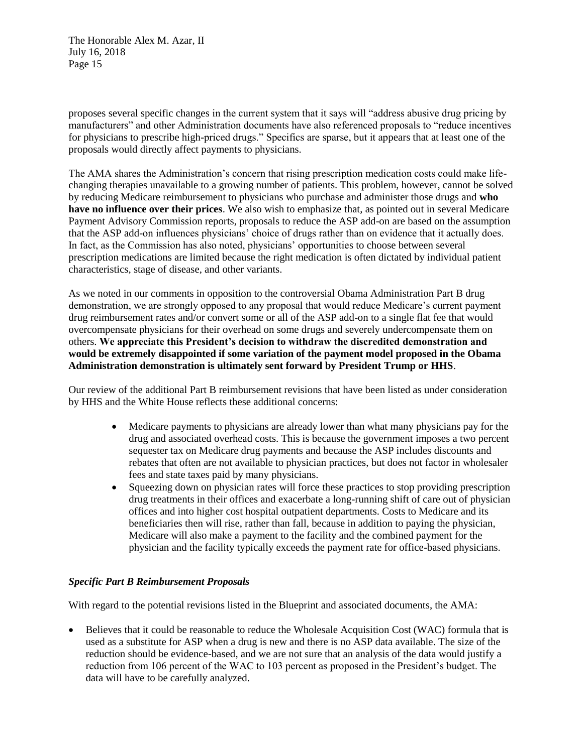proposes several specific changes in the current system that it says will "address abusive drug pricing by manufacturers" and other Administration documents have also referenced proposals to "reduce incentives for physicians to prescribe high-priced drugs." Specifics are sparse, but it appears that at least one of the proposals would directly affect payments to physicians.

The AMA shares the Administration's concern that rising prescription medication costs could make lifechanging therapies unavailable to a growing number of patients. This problem, however, cannot be solved by reducing Medicare reimbursement to physicians who purchase and administer those drugs and **who have no influence over their prices**. We also wish to emphasize that, as pointed out in several Medicare Payment Advisory Commission reports, proposals to reduce the ASP add-on are based on the assumption that the ASP add-on influences physicians' choice of drugs rather than on evidence that it actually does. In fact, as the Commission has also noted, physicians' opportunities to choose between several prescription medications are limited because the right medication is often dictated by individual patient characteristics, stage of disease, and other variants.

As we noted in our comments in opposition to the controversial Obama Administration Part B drug demonstration, we are strongly opposed to any proposal that would reduce Medicare's current payment drug reimbursement rates and/or convert some or all of the ASP add-on to a single flat fee that would overcompensate physicians for their overhead on some drugs and severely undercompensate them on others. **We appreciate this President's decision to withdraw the discredited demonstration and would be extremely disappointed if some variation of the payment model proposed in the Obama Administration demonstration is ultimately sent forward by President Trump or HHS**.

Our review of the additional Part B reimbursement revisions that have been listed as under consideration by HHS and the White House reflects these additional concerns:

- Medicare payments to physicians are already lower than what many physicians pay for the drug and associated overhead costs. This is because the government imposes a two percent sequester tax on Medicare drug payments and because the ASP includes discounts and rebates that often are not available to physician practices, but does not factor in wholesaler fees and state taxes paid by many physicians.
- Squeezing down on physician rates will force these practices to stop providing prescription drug treatments in their offices and exacerbate a long-running shift of care out of physician offices and into higher cost hospital outpatient departments. Costs to Medicare and its beneficiaries then will rise, rather than fall, because in addition to paying the physician, Medicare will also make a payment to the facility and the combined payment for the physician and the facility typically exceeds the payment rate for office-based physicians.

# *Specific Part B Reimbursement Proposals*

With regard to the potential revisions listed in the Blueprint and associated documents, the AMA:

 Believes that it could be reasonable to reduce the Wholesale Acquisition Cost (WAC) formula that is used as a substitute for ASP when a drug is new and there is no ASP data available. The size of the reduction should be evidence-based, and we are not sure that an analysis of the data would justify a reduction from 106 percent of the WAC to 103 percent as proposed in the President's budget. The data will have to be carefully analyzed.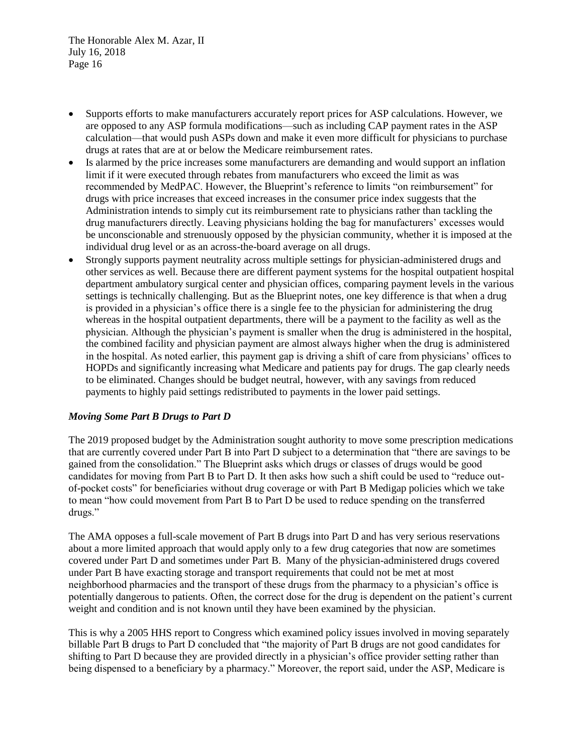- Supports efforts to make manufacturers accurately report prices for ASP calculations. However, we are opposed to any ASP formula modifications—such as including CAP payment rates in the ASP calculation—that would push ASPs down and make it even more difficult for physicians to purchase drugs at rates that are at or below the Medicare reimbursement rates.
- Is alarmed by the price increases some manufacturers are demanding and would support an inflation limit if it were executed through rebates from manufacturers who exceed the limit as was recommended by MedPAC. However, the Blueprint's reference to limits "on reimbursement" for drugs with price increases that exceed increases in the consumer price index suggests that the Administration intends to simply cut its reimbursement rate to physicians rather than tackling the drug manufacturers directly. Leaving physicians holding the bag for manufacturers' excesses would be unconscionable and strenuously opposed by the physician community, whether it is imposed at the individual drug level or as an across-the-board average on all drugs.
- Strongly supports payment neutrality across multiple settings for physician-administered drugs and other services as well. Because there are different payment systems for the hospital outpatient hospital department ambulatory surgical center and physician offices, comparing payment levels in the various settings is technically challenging. But as the Blueprint notes, one key difference is that when a drug is provided in a physician's office there is a single fee to the physician for administering the drug whereas in the hospital outpatient departments, there will be a payment to the facility as well as the physician. Although the physician's payment is smaller when the drug is administered in the hospital, the combined facility and physician payment are almost always higher when the drug is administered in the hospital. As noted earlier, this payment gap is driving a shift of care from physicians' offices to HOPDs and significantly increasing what Medicare and patients pay for drugs. The gap clearly needs to be eliminated. Changes should be budget neutral, however, with any savings from reduced payments to highly paid settings redistributed to payments in the lower paid settings.

# *Moving Some Part B Drugs to Part D*

The 2019 proposed budget by the Administration sought authority to move some prescription medications that are currently covered under Part B into Part D subject to a determination that "there are savings to be gained from the consolidation." The Blueprint asks which drugs or classes of drugs would be good candidates for moving from Part B to Part D. It then asks how such a shift could be used to "reduce outof-pocket costs" for beneficiaries without drug coverage or with Part B Medigap policies which we take to mean "how could movement from Part B to Part D be used to reduce spending on the transferred drugs."

The AMA opposes a full-scale movement of Part B drugs into Part D and has very serious reservations about a more limited approach that would apply only to a few drug categories that now are sometimes covered under Part D and sometimes under Part B. Many of the physician-administered drugs covered under Part B have exacting storage and transport requirements that could not be met at most neighborhood pharmacies and the transport of these drugs from the pharmacy to a physician's office is potentially dangerous to patients. Often, the correct dose for the drug is dependent on the patient's current weight and condition and is not known until they have been examined by the physician.

This is why a 2005 HHS report to Congress which examined policy issues involved in moving separately billable Part B drugs to Part D concluded that "the majority of Part B drugs are not good candidates for shifting to Part D because they are provided directly in a physician's office provider setting rather than being dispensed to a beneficiary by a pharmacy." Moreover, the report said, under the ASP, Medicare is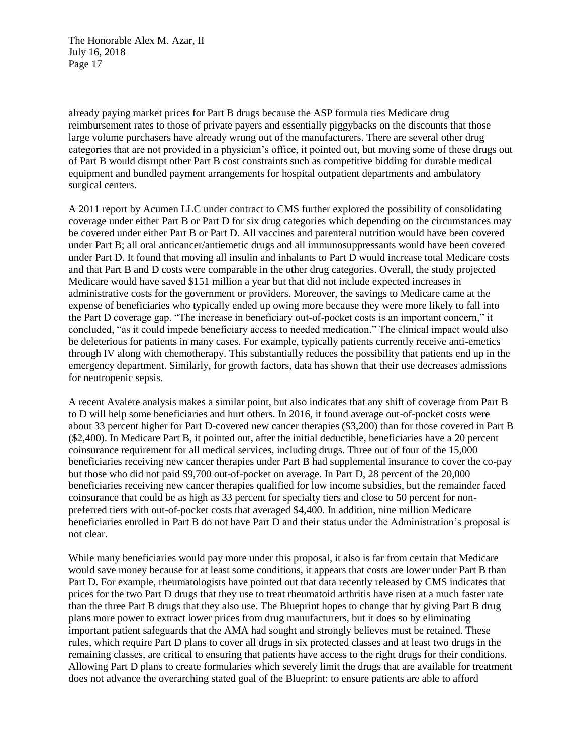already paying market prices for Part B drugs because the ASP formula ties Medicare drug reimbursement rates to those of private payers and essentially piggybacks on the discounts that those large volume purchasers have already wrung out of the manufacturers. There are several other drug categories that are not provided in a physician's office, it pointed out, but moving some of these drugs out of Part B would disrupt other Part B cost constraints such as competitive bidding for durable medical equipment and bundled payment arrangements for hospital outpatient departments and ambulatory surgical centers.

A 2011 report by Acumen LLC under contract to CMS further explored the possibility of consolidating coverage under either Part B or Part D for six drug categories which depending on the circumstances may be covered under either Part B or Part D. All vaccines and parenteral nutrition would have been covered under Part B; all oral anticancer/antiemetic drugs and all immunosuppressants would have been covered under Part D. It found that moving all insulin and inhalants to Part D would increase total Medicare costs and that Part B and D costs were comparable in the other drug categories. Overall, the study projected Medicare would have saved \$151 million a year but that did not include expected increases in administrative costs for the government or providers. Moreover, the savings to Medicare came at the expense of beneficiaries who typically ended up owing more because they were more likely to fall into the Part D coverage gap. "The increase in beneficiary out-of-pocket costs is an important concern," it concluded, "as it could impede beneficiary access to needed medication." The clinical impact would also be deleterious for patients in many cases. For example, typically patients currently receive anti-emetics through IV along with chemotherapy. This substantially reduces the possibility that patients end up in the emergency department. Similarly, for growth factors, data has shown that their use decreases admissions for neutropenic sepsis.

A recent Avalere analysis makes a similar point, but also indicates that any shift of coverage from Part B to D will help some beneficiaries and hurt others. In 2016, it found average out-of-pocket costs were about 33 percent higher for Part D-covered new cancer therapies (\$3,200) than for those covered in Part B (\$2,400). In Medicare Part B, it pointed out, after the initial deductible, beneficiaries have a 20 percent coinsurance requirement for all medical services, including drugs. Three out of four of the 15,000 beneficiaries receiving new cancer therapies under Part B had supplemental insurance to cover the co-pay but those who did not paid \$9,700 out-of-pocket on average. In Part D, 28 percent of the 20,000 beneficiaries receiving new cancer therapies qualified for low income subsidies, but the remainder faced coinsurance that could be as high as 33 percent for specialty tiers and close to 50 percent for nonpreferred tiers with out-of-pocket costs that averaged \$4,400. In addition, nine million Medicare beneficiaries enrolled in Part B do not have Part D and their status under the Administration's proposal is not clear.

While many beneficiaries would pay more under this proposal, it also is far from certain that Medicare would save money because for at least some conditions, it appears that costs are lower under Part B than Part D. For example, rheumatologists have pointed out that data recently released by CMS indicates that prices for the two Part D drugs that they use to treat rheumatoid arthritis have risen at a much faster rate than the three Part B drugs that they also use. The Blueprint hopes to change that by giving Part B drug plans more power to extract lower prices from drug manufacturers, but it does so by eliminating important patient safeguards that the AMA had sought and strongly believes must be retained. These rules, which require Part D plans to cover all drugs in six protected classes and at least two drugs in the remaining classes, are critical to ensuring that patients have access to the right drugs for their conditions. Allowing Part D plans to create formularies which severely limit the drugs that are available for treatment does not advance the overarching stated goal of the Blueprint: to ensure patients are able to afford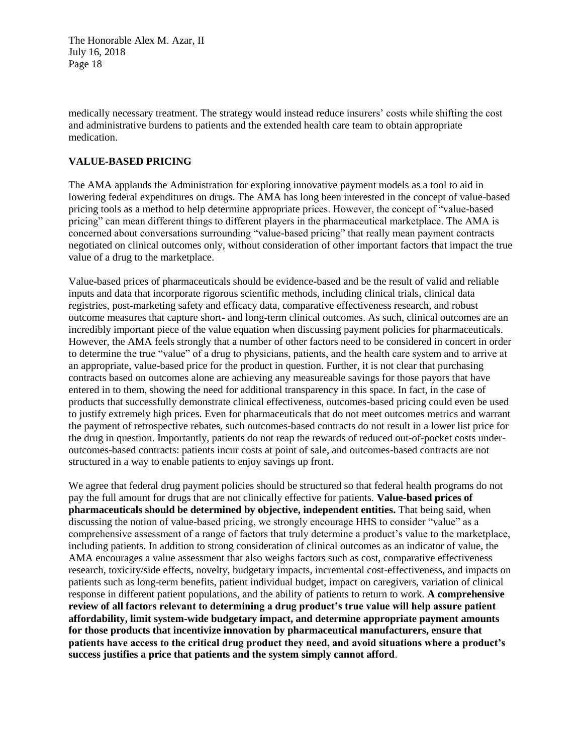medically necessary treatment. The strategy would instead reduce insurers' costs while shifting the cost and administrative burdens to patients and the extended health care team to obtain appropriate medication.

## **VALUE-BASED PRICING**

The AMA applauds the Administration for exploring innovative payment models as a tool to aid in lowering federal expenditures on drugs. The AMA has long been interested in the concept of value-based pricing tools as a method to help determine appropriate prices. However, the concept of "value-based pricing" can mean different things to different players in the pharmaceutical marketplace. The AMA is concerned about conversations surrounding "value-based pricing" that really mean payment contracts negotiated on clinical outcomes only, without consideration of other important factors that impact the true value of a drug to the marketplace.

Value-based prices of pharmaceuticals should be evidence-based and be the result of valid and reliable inputs and data that incorporate rigorous scientific methods, including clinical trials, clinical data registries, post-marketing safety and efficacy data, comparative effectiveness research, and robust outcome measures that capture short- and long-term clinical outcomes. As such, clinical outcomes are an incredibly important piece of the value equation when discussing payment policies for pharmaceuticals. However, the AMA feels strongly that a number of other factors need to be considered in concert in order to determine the true "value" of a drug to physicians, patients, and the health care system and to arrive at an appropriate, value-based price for the product in question. Further, it is not clear that purchasing contracts based on outcomes alone are achieving any measureable savings for those payors that have entered in to them, showing the need for additional transparency in this space. In fact, in the case of products that successfully demonstrate clinical effectiveness, outcomes-based pricing could even be used to justify extremely high prices. Even for pharmaceuticals that do not meet outcomes metrics and warrant the payment of retrospective rebates, such outcomes-based contracts do not result in a lower list price for the drug in question. Importantly, patients do not reap the rewards of reduced out-of-pocket costs underoutcomes-based contracts: patients incur costs at point of sale, and outcomes-based contracts are not structured in a way to enable patients to enjoy savings up front.

We agree that federal drug payment policies should be structured so that federal health programs do not pay the full amount for drugs that are not clinically effective for patients. **Value-based prices of pharmaceuticals should be determined by objective, independent entities.** That being said, when discussing the notion of value-based pricing, we strongly encourage HHS to consider "value" as a comprehensive assessment of a range of factors that truly determine a product's value to the marketplace, including patients. In addition to strong consideration of clinical outcomes as an indicator of value, the AMA encourages a value assessment that also weighs factors such as cost, comparative effectiveness research, toxicity/side effects, novelty, budgetary impacts, incremental cost-effectiveness, and impacts on patients such as long-term benefits, patient individual budget, impact on caregivers, variation of clinical response in different patient populations, and the ability of patients to return to work. **A comprehensive review of all factors relevant to determining a drug product's true value will help assure patient affordability, limit system-wide budgetary impact, and determine appropriate payment amounts for those products that incentivize innovation by pharmaceutical manufacturers, ensure that patients have access to the critical drug product they need, and avoid situations where a product's success justifies a price that patients and the system simply cannot afford**.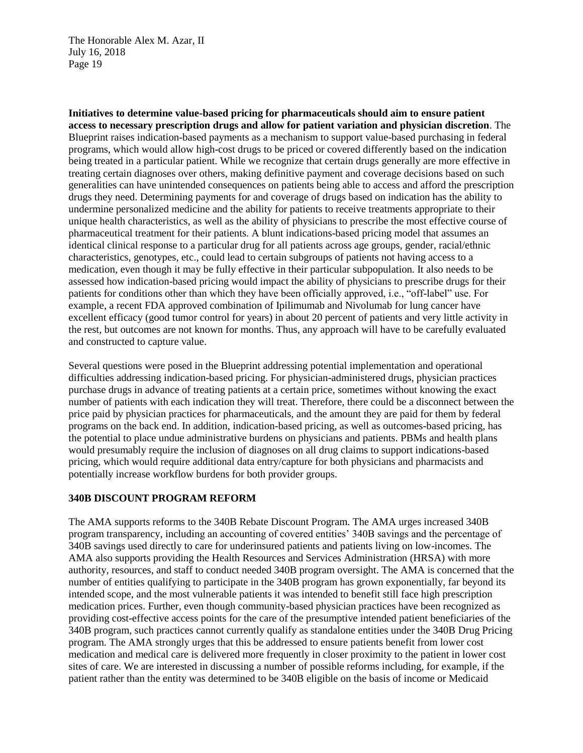**Initiatives to determine value-based pricing for pharmaceuticals should aim to ensure patient access to necessary prescription drugs and allow for patient variation and physician discretion**. The Blueprint raises indication-based payments as a mechanism to support value-based purchasing in federal programs, which would allow high-cost drugs to be priced or covered differently based on the indication being treated in a particular patient. While we recognize that certain drugs generally are more effective in treating certain diagnoses over others, making definitive payment and coverage decisions based on such generalities can have unintended consequences on patients being able to access and afford the prescription drugs they need. Determining payments for and coverage of drugs based on indication has the ability to undermine personalized medicine and the ability for patients to receive treatments appropriate to their unique health characteristics, as well as the ability of physicians to prescribe the most effective course of pharmaceutical treatment for their patients. A blunt indications-based pricing model that assumes an identical clinical response to a particular drug for all patients across age groups, gender, racial/ethnic characteristics, genotypes, etc., could lead to certain subgroups of patients not having access to a medication, even though it may be fully effective in their particular subpopulation. It also needs to be assessed how indication-based pricing would impact the ability of physicians to prescribe drugs for their patients for conditions other than which they have been officially approved, i.e., "off-label" use. For example, a recent FDA approved combination of Ipilimumab and Nivolumab for lung cancer have excellent efficacy (good tumor control for years) in about 20 percent of patients and very little activity in the rest, but outcomes are not known for months. Thus, any approach will have to be carefully evaluated and constructed to capture value.

Several questions were posed in the Blueprint addressing potential implementation and operational difficulties addressing indication-based pricing. For physician-administered drugs, physician practices purchase drugs in advance of treating patients at a certain price, sometimes without knowing the exact number of patients with each indication they will treat. Therefore, there could be a disconnect between the price paid by physician practices for pharmaceuticals, and the amount they are paid for them by federal programs on the back end. In addition, indication-based pricing, as well as outcomes-based pricing, has the potential to place undue administrative burdens on physicians and patients. PBMs and health plans would presumably require the inclusion of diagnoses on all drug claims to support indications-based pricing, which would require additional data entry/capture for both physicians and pharmacists and potentially increase workflow burdens for both provider groups.

# **340B DISCOUNT PROGRAM REFORM**

The AMA supports reforms to the 340B Rebate Discount Program. The AMA urges increased 340B program transparency, including an accounting of covered entities' 340B savings and the percentage of 340B savings used directly to care for underinsured patients and patients living on low-incomes. The AMA also supports providing the Health Resources and Services Administration (HRSA) with more authority, resources, and staff to conduct needed 340B program oversight. The AMA is concerned that the number of entities qualifying to participate in the 340B program has grown exponentially, far beyond its intended scope, and the most vulnerable patients it was intended to benefit still face high prescription medication prices. Further, even though community-based physician practices have been recognized as providing cost-effective access points for the care of the presumptive intended patient beneficiaries of the 340B program, such practices cannot currently qualify as standalone entities under the 340B Drug Pricing program. The AMA strongly urges that this be addressed to ensure patients benefit from lower cost medication and medical care is delivered more frequently in closer proximity to the patient in lower cost sites of care. We are interested in discussing a number of possible reforms including, for example, if the patient rather than the entity was determined to be 340B eligible on the basis of income or Medicaid